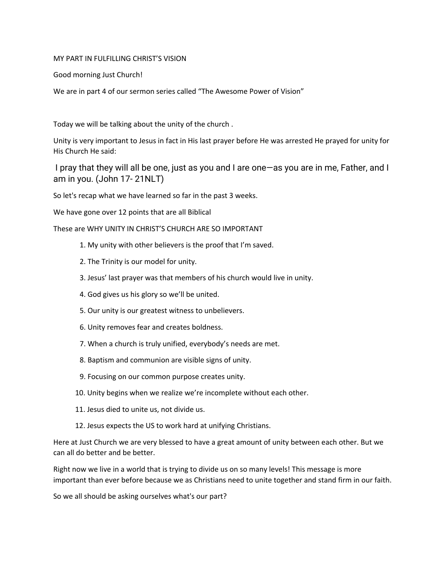## MY PART IN FULFILLING CHRIST'S VISION

Good morning Just Church!

We are in part 4 of our sermon series called "The Awesome Power of Vision"

Today we will be talking about the unity of the church .

Unity is very important to Jesus in fact in His last prayer before He was arrested He prayed for unity for His Church He said:

I pray that they will all be one, just as you and I are one—as you are in me, Father, and I am in you. (John 17- 21NLT)

So let's recap what we have learned so far in the past 3 weeks.

We have gone over 12 points that are all Biblical

These are WHY UNITY IN CHRIST'S CHURCH ARE SO IMPORTANT

- 1. My unity with other believers is the proof that I'm saved.
- 2. The Trinity is our model for unity.
- 3. Jesus' last prayer was that members of his church would live in unity.
- 4. God gives us his glory so we'll be united.
- 5. Our unity is our greatest witness to unbelievers.
- 6. Unity removes fear and creates boldness.
- 7. When a church is truly unified, everybody's needs are met.
- 8. Baptism and communion are visible signs of unity.
- 9. Focusing on our common purpose creates unity.
- 10. Unity begins when we realize we're incomplete without each other.
- 11. Jesus died to unite us, not divide us.
- 12. Jesus expects the US to work hard at unifying Christians.

Here at Just Church we are very blessed to have a great amount of unity between each other. But we can all do better and be better.

Right now we live in a world that is trying to divide us on so many levels! This message is more important than ever before because we as Christians need to unite together and stand firm in our faith.

So we all should be asking ourselves what's our part?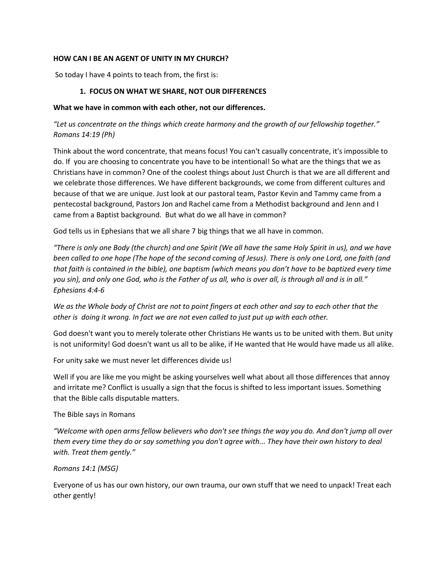## **HOW CAN I BE AN AGENT OF UNITY IN MY CHURCH?**

So today I have 4 points to teach from, the first is:

### **1. FOCUS ON WHAT WE SHARE, NOT OUR DIFFERENCES**

#### **What we have in common with each other, not our differences.**

*"Let us concentrate on the things which create harmony and the growth of our fellowship together." Romans 14:19 (Ph)*

Think about the word concentrate, that means focus! You can't casually concentrate, it's impossible to do. If you are choosing to concentrate you have to be intentional! So what are the things that we as Christians have in common? One of the coolest things about Just Church is that we are all different and we celebrate those differences. We have different backgrounds, we come from different cultures and because of that we are unique. Just look at our pastoral team, Pastor Kevin and Tammy came from a pentecostal background, Pastors Jon and Rachel came from a Methodist background and Jenn and I came from a Baptist background. But what do we all have in common?

God tells us in Ephesians that we all share 7 big things that we all have in common.

*"There is only one Body (the church) and one Spirit (We all have the same Holy Spirit in us), and we have been called to one hope (The hope of the second coming of Jesus). There is only one Lord, one faith (and that faith is contained in the bible), one baptism (which means you don't have to be baptized every time you sin), and only one God, who is the Father of us all, who is over all, is through all and is in all." Ephesians 4:4-6*

*We as the Whole body of Christ are not to point fingers at each other and say to each other that the other is doing it wrong. In fact we are not even called to just put up with each other.*

God doesn't want you to merely tolerate other Christians He wants us to be united with them. But unity is not uniformity! God doesn't want us all to be alike, if He wanted that He would have made us all alike.

For unity sake we must never let differences divide us!

Well if you are like me you might be asking yourselves well what about all those differences that annoy and irritate me? Conflict is usually a sign that the focus is shifted to less important issues. Something that the Bible calls disputable matters.

#### The Bible says in Romans

*"Welcome with open arms fellow believers who don't see things the way you do. And don't jump all over them every time they do or say something you don't agree with... They have their own history to deal with. Treat them gently."*

#### *Romans 14:1 (MSG)*

Everyone of us has our own history, our own trauma, our own stuff that we need to unpack! Treat each other gently!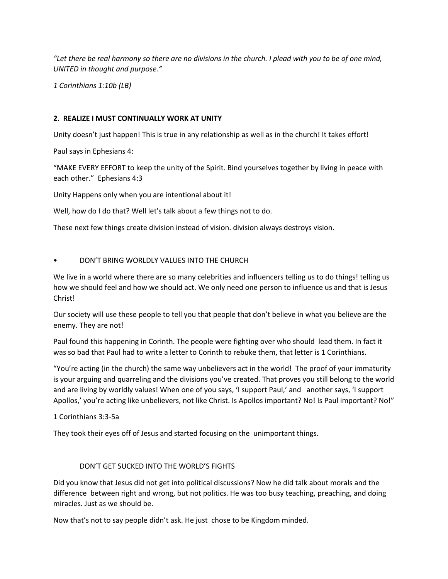*"Let there be real harmony so there are no divisions in the church. I plead with you to be of one mind, UNITED in thought and purpose."* 

*1 Corinthians 1:10b (LB)*

## **2. REALIZE I MUST CONTINUALLY WORK AT UNITY**

Unity doesn't just happen! This is true in any relationship as well as in the church! It takes effort!

Paul says in Ephesians 4:

"MAKE EVERY EFFORT to keep the unity of the Spirit. Bind yourselves together by living in peace with each other." Ephesians 4:3

Unity Happens only when you are intentional about it!

Well, how do I do that? Well let's talk about a few things not to do.

These next few things create division instead of vision. division always destroys vision.

## • DON'T BRING WORLDLY VALUES INTO THE CHURCH

We live in a world where there are so many celebrities and influencers telling us to do things! telling us how we should feel and how we should act. We only need one person to influence us and that is Jesus Christ!

Our society will use these people to tell you that people that don't believe in what you believe are the enemy. They are not!

Paul found this happening in Corinth. The people were fighting over who should lead them. In fact it was so bad that Paul had to write a letter to Corinth to rebuke them, that letter is 1 Corinthians.

"You're acting (in the church) the same way unbelievers act in the world! The proof of your immaturity is your arguing and quarreling and the divisions you've created. That proves you still belong to the world and are living by worldly values! When one of you says, 'I support Paul,' and another says, 'I support Apollos,' you're acting like unbelievers, not like Christ. Is Apollos important? No! Is Paul important? No!"

## 1 Corinthians 3:3-5a

They took their eyes off of Jesus and started focusing on the unimportant things.

# DON'T GET SUCKED INTO THE WORLD'S FIGHTS

Did you know that Jesus did not get into political discussions? Now he did talk about morals and the difference between right and wrong, but not politics. He was too busy teaching, preaching, and doing miracles. Just as we should be.

Now that's not to say people didn't ask. He just chose to be Kingdom minded.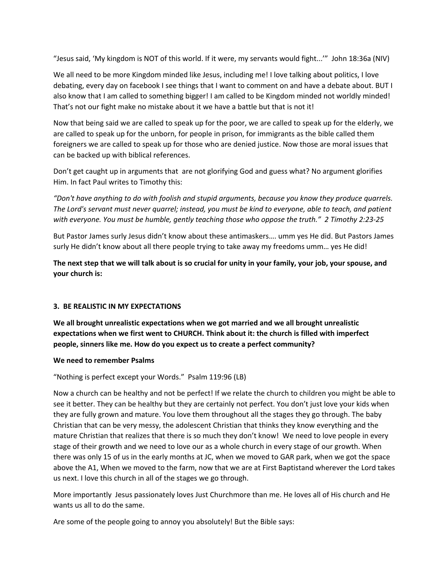"Jesus said, 'My kingdom is NOT of this world. If it were, my servants would fight...'" John 18:36a (NIV)

We all need to be more Kingdom minded like Jesus, including me! I love talking about politics, I love debating, every day on facebook I see things that I want to comment on and have a debate about. BUT I also know that I am called to something bigger! I am called to be Kingdom minded not worldly minded! That's not our fight make no mistake about it we have a battle but that is not it!

Now that being said we are called to speak up for the poor, we are called to speak up for the elderly, we are called to speak up for the unborn, for people in prison, for immigrants as the bible called them foreigners we are called to speak up for those who are denied justice. Now those are moral issues that can be backed up with biblical references.

Don't get caught up in arguments that are not glorifying God and guess what? No argument glorifies Him. In fact Paul writes to Timothy this:

*"Don't have anything to do with foolish and stupid arguments, because you know they produce quarrels. The Lord's servant must never quarrel; instead, you must be kind to everyone, able to teach, and patient with everyone. You must be humble, gently teaching those who oppose the truth." 2 Timothy 2:23-25* 

But Pastor James surly Jesus didn't know about these antimaskers…. umm yes He did. But Pastors James surly He didn't know about all there people trying to take away my freedoms umm… yes He did!

**The next step that we will talk about is so crucial for unity in your family, your job, your spouse, and your church is:**

# **3. BE REALISTIC IN MY EXPECTATIONS**

**We all brought unrealistic expectations when we got married and we all brought unrealistic expectations when we first went to CHURCH. Think about it: the church is filled with imperfect people, sinners like me. How do you expect us to create a perfect community?** 

## **We need to remember Psalms**

"Nothing is perfect except your Words." Psalm 119:96 (LB)

Now a church can be healthy and not be perfect! If we relate the church to children you might be able to see it better. They can be healthy but they are certainly not perfect. You don't just love your kids when they are fully grown and mature. You love them throughout all the stages they go through. The baby Christian that can be very messy, the adolescent Christian that thinks they know everything and the mature Christian that realizes that there is so much they don't know! We need to love people in every stage of their growth and we need to love our as a whole church in every stage of our growth. When there was only 15 of us in the early months at JC, when we moved to GAR park, when we got the space above the A1, When we moved to the farm, now that we are at First Baptistand wherever the Lord takes us next. I love this church in all of the stages we go through.

More importantly Jesus passionately loves Just Churchmore than me. He loves all of His church and He wants us all to do the same.

Are some of the people going to annoy you absolutely! But the Bible says: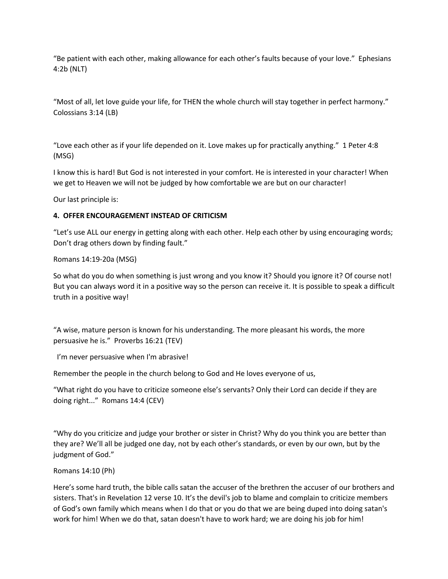"Be patient with each other, making allowance for each other's faults because of your love." Ephesians 4:2b (NLT)

"Most of all, let love guide your life, for THEN the whole church will stay together in perfect harmony." Colossians 3:14 (LB)

"Love each other as if your life depended on it. Love makes up for practically anything." 1 Peter 4:8 (MSG)

I know this is hard! But God is not interested in your comfort. He is interested in your character! When we get to Heaven we will not be judged by how comfortable we are but on our character!

Our last principle is:

## **4. OFFER ENCOURAGEMENT INSTEAD OF CRITICISM**

"Let's use ALL our energy in getting along with each other. Help each other by using encouraging words; Don't drag others down by finding fault."

Romans 14:19-20a (MSG)

So what do you do when something is just wrong and you know it? Should you ignore it? Of course not! But you can always word it in a positive way so the person can receive it. It is possible to speak a difficult truth in a positive way!

"A wise, mature person is known for his understanding. The more pleasant his words, the more persuasive he is." Proverbs 16:21 (TEV)

I'm never persuasive when I'm abrasive!

Remember the people in the church belong to God and He loves everyone of us,

```
"What right do you have to criticize someone else's servants? Only their Lord can decide if they are 
doing right..." Romans 14:4 (CEV)
```
"Why do you criticize and judge your brother or sister in Christ? Why do you think you are better than they are? We'll all be judged one day, not by each other's standards, or even by our own, but by the judgment of God."

## Romans 14:10 (Ph)

Here's some hard truth, the bible calls satan the accuser of the brethren the accuser of our brothers and sisters. That's in Revelation 12 verse 10. It's the devil's job to blame and complain to criticize members of God's own family which means when I do that or you do that we are being duped into doing satan's work for him! When we do that, satan doesn't have to work hard; we are doing his job for him!